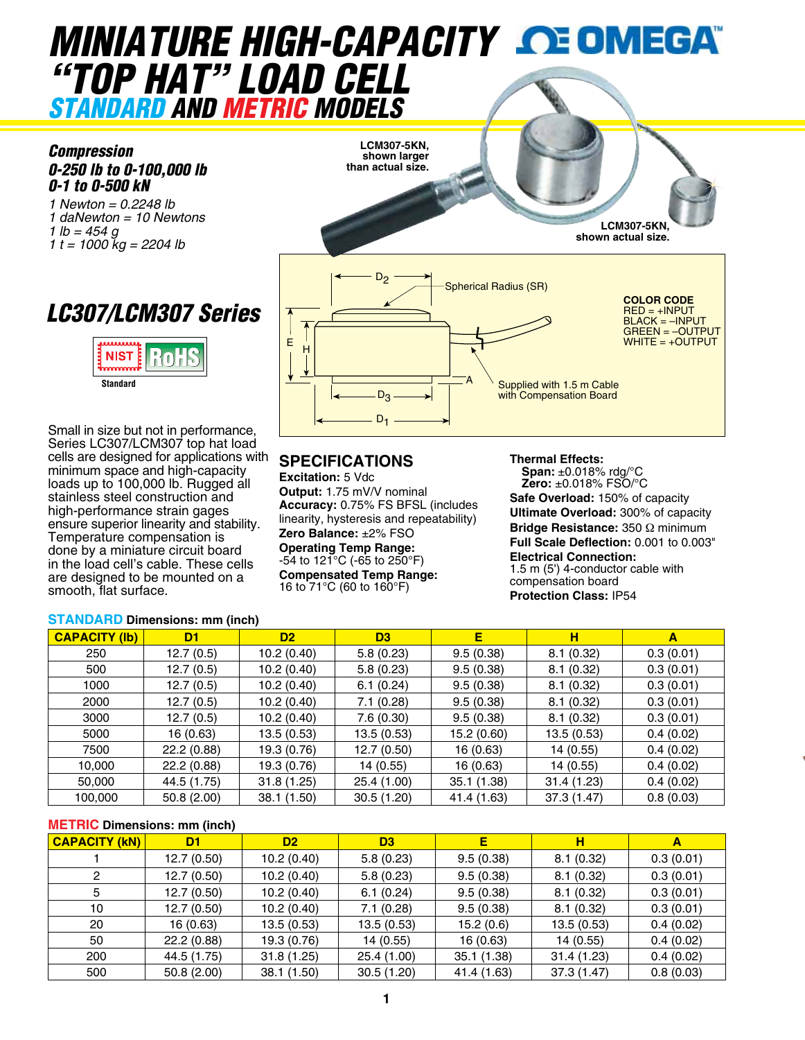# *MINIATURE HIGH-CAPACITY <b>ALE OMEGAT "TOP HAT" LOAD CELL STANDARD AND METRIC MODELS*

**LCM307-5KN,** 

# *Compression 0-250 lb to 0-100,000 lb 0-1 to 0-500 kN*

*1 Newton = 0.2248 lb 1 daNewton = 10 Newtons 1 lb = 454 g 1 t = 1000 kg = 2204 lb*





Small in size but not in performance, Series LC307/LCM307 top hat load cells are designed for applications with minimum space and high-capacity loads up to 100,000 lb. Rugged all stainless steel construction and high-performance strain gages ensure superior linearity and stability. Temperature compensation is done by a miniature circuit board in the load cell's cable. These cells are designed to be mounted on a smooth, flat surface.



# **SPECIFICATIONS**

**Excitation:** 5 Vdc **Output:** 1.75 mV/V nominal **Accuracy:** 0.75% FS BFSL (includes linearity, hysteresis and repeatability) **Zero Balance:** ±2% FSO **Operating Temp Range:**  -54 to 121°C (-65 to 250°F) **Compensated Temp Range:**  16 to 71°C (60 to 160°F)

#### **Thermal Effects:**

**Span:** ±0.018% rdg/°C **Zero:** ±0.018% FSO/°C **Safe Overload:** 150% of capacity **Ultimate Overload:** 300% of capacity **Bridge Resistance:** 350 Ω minimum **Full Scale Deflection:** 0.001 to 0.003" **Electrical Connection:**  1.5 m (5') 4-conductor cable with compensation board **Protection Class:** IP54

#### **STANDARD Dimensions: mm (inch)**

| <b>CAPACITY (Ib)</b> | D <sub>1</sub> | D <sub>2</sub> | D <sub>3</sub> | E.          | н           | A         |
|----------------------|----------------|----------------|----------------|-------------|-------------|-----------|
| 250                  | 12.7(0.5)      | 10.2(0.40)     | 5.8(0.23)      | 9.5(0.38)   | 8.1(0.32)   | 0.3(0.01) |
| 500                  | 12.7 (0.5)     | 10.2(0.40)     | 5.8(0.23)      | 9.5(0.38)   | 8.1(0.32)   | 0.3(0.01) |
| 1000                 | 12.7(0.5)      | 10.2(0.40)     | 6.1(0.24)      | 9.5(0.38)   | 8.1(0.32)   | 0.3(0.01) |
| 2000                 | 12.7 (0.5)     | 10.2(0.40)     | 7.1(0.28)      | 9.5(0.38)   | 8.1(0.32)   | 0.3(0.01) |
| 3000                 | 12.7(0.5)      | 10.2(0.40)     | 7.6(0.30)      | 9.5(0.38)   | 8.1(0.32)   | 0.3(0.01) |
| 5000                 | 16 (0.63)      | 13.5(0.53)     | 13.5(0.53)     | 15.2 (0.60) | 13.5(0.53)  | 0.4(0.02) |
| 7500                 | 22.2(0.88)     | 19.3 (0.76)    | 12.7(0.50)     | 16 (0.63)   | 14 (0.55)   | 0.4(0.02) |
| 10,000               | 22.2(0.88)     | 19.3 (0.76)    | 14 (0.55)      | 16 (0.63)   | 14 (0.55)   | 0.4(0.02) |
| 50,000               | 44.5 (1.75)    | 31.8(1.25)     | 25.4 (1.00)    | 35.1 (1.38) | 31.4(1.23)  | 0.4(0.02) |
| 100,000              | 50.8 (2.00)    | 38.1 (1.50)    | 30.5(1.20)     | 41.4 (1.63) | 37.3 (1.47) | 0.8(0.03) |

### **METRIC Dimensions: mm (inch)**

| <b>CAPACITY (KN)</b> | D <sub>1</sub> | D <sub>2</sub> | D <sub>3</sub> |             | н           |           |
|----------------------|----------------|----------------|----------------|-------------|-------------|-----------|
|                      | 12.7(0.50)     | 10.2(0.40)     | 5.8(0.23)      | 9.5(0.38)   | 8.1(0.32)   | 0.3(0.01) |
|                      | 12.7(0.50)     | 10.2(0.40)     | 5.8(0.23)      | 9.5(0.38)   | 8.1(0.32)   | 0.3(0.01) |
|                      | 12.7(0.50)     | 10.2(0.40)     | 6.1(0.24)      | 9.5(0.38)   | 8.1(0.32)   | 0.3(0.01) |
| 10                   | 12.7(0.50)     | 10.2(0.40)     | 7.1(0.28)      | 9.5(0.38)   | 8.1(0.32)   | 0.3(0.01) |
| 20                   | 16(0.63)       | 13.5(0.53)     | 13.5(0.53)     | 15.2(0.6)   | 13.5(0.53)  | 0.4(0.02) |
| 50                   | 22.2 (0.88)    | 19.3 (0.76)    | 14 (0.55)      | 16(0.63)    | 14(0.55)    | 0.4(0.02) |
| 200                  | 44.5 (1.75)    | 31.8(1.25)     | 25.4 (1.00)    | 35.1 (1.38) | 31.4(1.23)  | 0.4(0.02) |
| 500                  | 50.8 (2.00)    | 38.1 (1.50)    | 30.5(1.20)     | 41.4 (1.63) | 37.3 (1.47) | 0.8(0.03) |